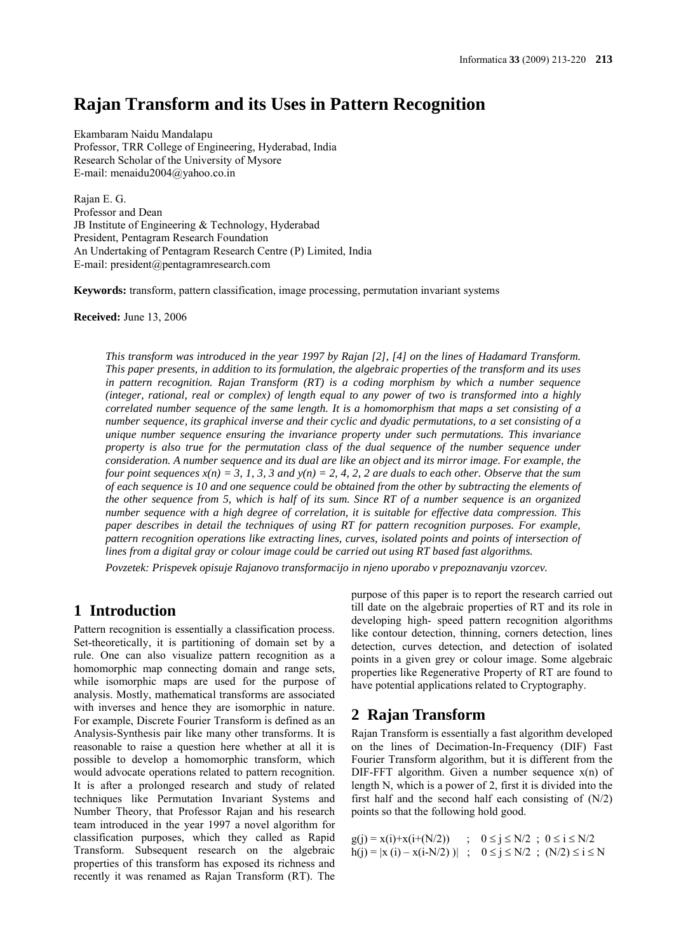# **Rajan Transform and its Uses in Pattern Recognition**

Ekambaram Naidu Mandalapu Professor, TRR College of Engineering, Hyderabad, India Research Scholar of the University of Mysore E-mail: menaidu2004@yahoo.co.in

Rajan E. G. Professor and Dean JB Institute of Engineering & Technology, Hyderabad President, Pentagram Research Foundation An Undertaking of Pentagram Research Centre (P) Limited, India E-mail: president@pentagramresearch.com

**Keywords:** transform, pattern classification, image processing, permutation invariant systems

**Received:** June 13, 2006

*This transform was introduced in the year 1997 by Rajan [2], [4] on the lines of Hadamard Transform. This paper presents, in addition to its formulation, the algebraic properties of the transform and its uses in pattern recognition. Rajan Transform (RT) is a coding morphism by which a number sequence (integer, rational, real or complex) of length equal to any power of two is transformed into a highly correlated number sequence of the same length. It is a homomorphism that maps a set consisting of a number sequence, its graphical inverse and their cyclic and dyadic permutations, to a set consisting of a unique number sequence ensuring the invariance property under such permutations. This invariance property is also true for the permutation class of the dual sequence of the number sequence under consideration. A number sequence and its dual are like an object and its mirror image. For example, the four point sequences*  $x(n) = 3$ *, 1, 3, 3 and y(n) = 2, 4, 2, 2 are duals to each other. Observe that the sum of each sequence is 10 and one sequence could be obtained from the other by subtracting the elements of the other sequence from 5, which is half of its sum. Since RT of a number sequence is an organized number sequence with a high degree of correlation, it is suitable for effective data compression. This paper describes in detail the techniques of using RT for pattern recognition purposes. For example, pattern recognition operations like extracting lines, curves, isolated points and points of intersection of lines from a digital gray or colour image could be carried out using RT based fast algorithms.*

*Povzetek: Prispevek opisuje Rajanovo transformacijo in njeno uporabo v prepoznavanju vzorcev.*

# **1 Introduction**

Pattern recognition is essentially a classification process. Set-theoretically, it is partitioning of domain set by a rule. One can also visualize pattern recognition as a homomorphic map connecting domain and range sets, while isomorphic maps are used for the purpose of analysis. Mostly, mathematical transforms are associated with inverses and hence they are isomorphic in nature. For example, Discrete Fourier Transform is defined as an Analysis-Synthesis pair like many other transforms. It is reasonable to raise a question here whether at all it is possible to develop a homomorphic transform, which would advocate operations related to pattern recognition. It is after a prolonged research and study of related techniques like Permutation Invariant Systems and Number Theory, that Professor Rajan and his research team introduced in the year 1997 a novel algorithm for classification purposes, which they called as Rapid Transform. Subsequent research on the algebraic properties of this transform has exposed its richness and recently it was renamed as Rajan Transform (RT). The

purpose of this paper is to report the research carried out till date on the algebraic properties of RT and its role in developing high- speed pattern recognition algorithms like contour detection, thinning, corners detection, lines detection, curves detection, and detection of isolated points in a given grey or colour image. Some algebraic properties like Regenerative Property of RT are found to have potential applications related to Cryptography.

# **2 Rajan Transform**

Rajan Transform is essentially a fast algorithm developed on the lines of Decimation-In-Frequency (DIF) Fast Fourier Transform algorithm, but it is different from the DIF-FFT algorithm. Given a number sequence  $x(n)$  of length N, which is a power of 2, first it is divided into the first half and the second half each consisting of  $(N/2)$ points so that the following hold good.

| $g(j) = x(i)+x(i+(N/2))$ | $0 \le j \le N/2$ ; $0 \le i \le N/2$                                |
|--------------------------|----------------------------------------------------------------------|
|                          | $h(j) =  x(i) - x(i-N/2) $ ; $0 \le j \le N/2$ ; $(N/2) \le i \le N$ |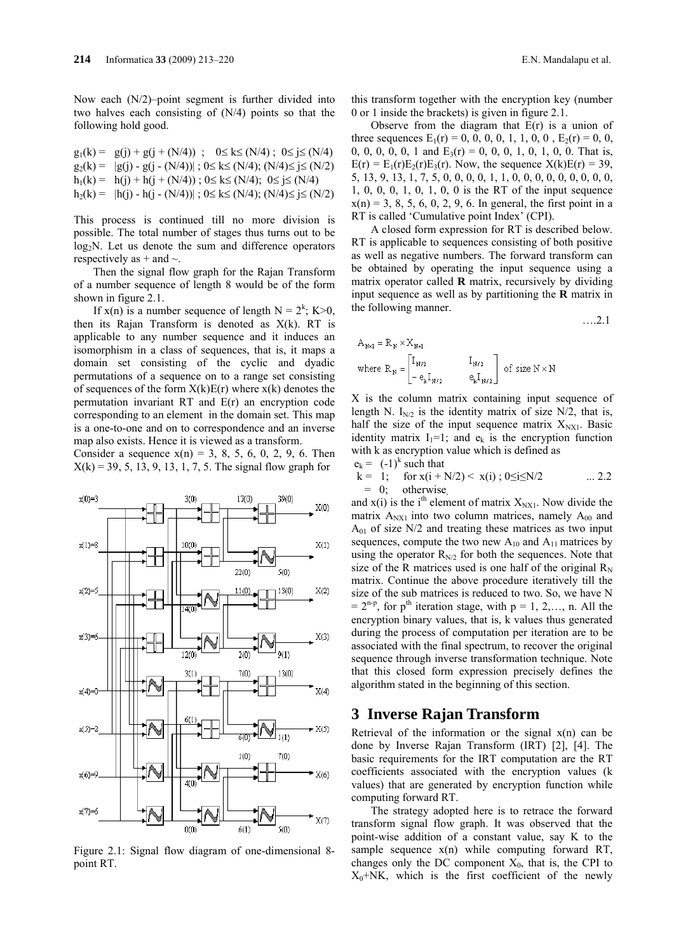Now each (N/2)–point segment is further divided into two halves each consisting of (N/4) points so that the following hold good.

$$
g_1(k) = g(j) + g(j + (N/4)) ; 0 \le k \le (N/4) ; 0 \le j \le (N/4)
$$
  
\n
$$
g_2(k) = |g(j) - g(j - (N/4))| ; 0 \le k \le (N/4) ; (N/4) \le j \le (N/2)
$$
  
\n
$$
h_1(k) = h(j) + h(j + (N/4)) ; 0 \le k \le (N/4) ; 0 \le j \le (N/4)
$$
  
\n
$$
h_2(k) = |h(j) - h(j - (N/4))| ; 0 \le k \le (N/4) ; (N/4) \le j \le (N/2)
$$

This process is continued till no more division is possible. The total number of stages thus turns out to be  $log_2N$ . Let us denote the sum and difference operators respectively as  $+$  and  $\sim$ .

Then the signal flow graph for the Rajan Transform of a number sequence of length 8 would be of the form shown in figure 2.1.

If  $x(n)$  is a number sequence of length  $N = 2<sup>k</sup>$ ; K > 0, then its Rajan Transform is denoted as  $X(k)$ . RT is applicable to any number sequence and it induces an isomorphism in a class of sequences, that is, it maps a domain set consisting of the cyclic and dyadic permutations of a sequence on to a range set consisting of sequences of the form  $X(k)E(r)$  where  $X(k)$  denotes the permutation invariant RT and E(r) an encryption code corresponding to an element in the domain set. This map is a one-to-one and on to correspondence and an inverse map also exists. Hence it is viewed as a transform.

Consider a sequence  $x(n) = 3, 8, 5, 6, 0, 2, 9, 6$ . Then  $X(k) = 39, 5, 13, 9, 13, 1, 7, 5$ . The signal flow graph for



Figure 2.1: Signal flow diagram of one-dimensional 8 point RT.

this transform together with the encryption key (number 0 or 1 inside the brackets) is given in figure 2.1.

Observe from the diagram that  $E(r)$  is a union of three sequences  $E_1(r) = 0, 0, 0, 0, 1, 1, 0, 0, E_2(r) = 0, 0,$ 0, 0, 0, 0, 1 and  $E_3(r) = 0$ , 0, 0, 1, 0, 1, 0, 0. That is,  $E(r) = E_1(r)E_2(r)E_3(r)$ . Now, the sequence  $X(k)E(r) = 39$ , 5, 13, 9, 13, 1, 7, 5, 0, 0, 0, 0, 1, 1, 0, 0, 0, 0, 0, 0, 0, 0, 0, 1, 0, 0, 0, 1, 0, 1, 0, 0 is the RT of the input sequence  $x(n) = 3, 8, 5, 6, 0, 2, 9, 6$ . In general, the first point in a RT is called 'Cumulative point Index' (CPI).

A closed form expression for RT is described below. RT is applicable to sequences consisting of both positive as well as negative numbers. The forward transform can be obtained by operating the input sequence using a matrix operator called **R** matrix, recursively by dividing input sequence as well as by partitioning the **R** matrix in the following manner.

$$
\ldots 2.1
$$

$$
A_{N\times1} = K_N \times X_{N\times1}
$$
  
where 
$$
R_N = \begin{bmatrix} I_{N/2} & I_{N/2} \\ -e_k I_{N/2} & e_k I_{N/2} \end{bmatrix}
$$
 of size  $N \times N$ 

X is the column matrix containing input sequence of length N.  $I_{N/2}$  is the identity matrix of size N/2, that is, half the size of the input sequence matrix  $X_{NX1}$ . Basic identity matrix  $I_1=1$ ; and  $e_k$  is the encryption function with k as encryption value which is defined as  $e_k = (-1)^k$  such that

$$
k = 1; \quad \text{for } x(i + N/2) < x(i); 0 \le i \le N/2 \quad \dots 2.2
$$
\n
$$
= 0; \quad \text{otherwise}
$$

and  $x(i)$  is the i<sup>th</sup> element of matrix  $X_{NX1}$ . Now divide the matrix  $A_{NXI}$  into two column matrices, namely  $A_{00}$  and  $A_{01}$  of size N/2 and treating these matrices as two input sequences, compute the two new  $A_{10}$  and  $A_{11}$  matrices by using the operator  $R_{N/2}$  for both the sequences. Note that size of the R matrices used is one half of the original  $R_N$ matrix. Continue the above procedure iteratively till the size of the sub matrices is reduced to two. So, we have N  $= 2^{n-p}$ , for p<sup>th</sup> iteration stage, with p = 1, 2,..., n. All the encryption binary values, that is, k values thus generated during the process of computation per iteration are to be associated with the final spectrum, to recover the original sequence through inverse transformation technique. Note that this closed form expression precisely defines the algorithm stated in the beginning of this section.

# **3 Inverse Rajan Transform**

Retrieval of the information or the signal  $x(n)$  can be done by Inverse Rajan Transform (IRT) [2], [4]. The basic requirements for the IRT computation are the RT coefficients associated with the encryption values (k values) that are generated by encryption function while computing forward RT.

The strategy adopted here is to retrace the forward transform signal flow graph. It was observed that the point-wise addition of a constant value, say K to the sample sequence  $x(n)$  while computing forward RT, changes only the DC component  $X_0$ , that is, the CPI to  $X_0+NK$ , which is the first coefficient of the newly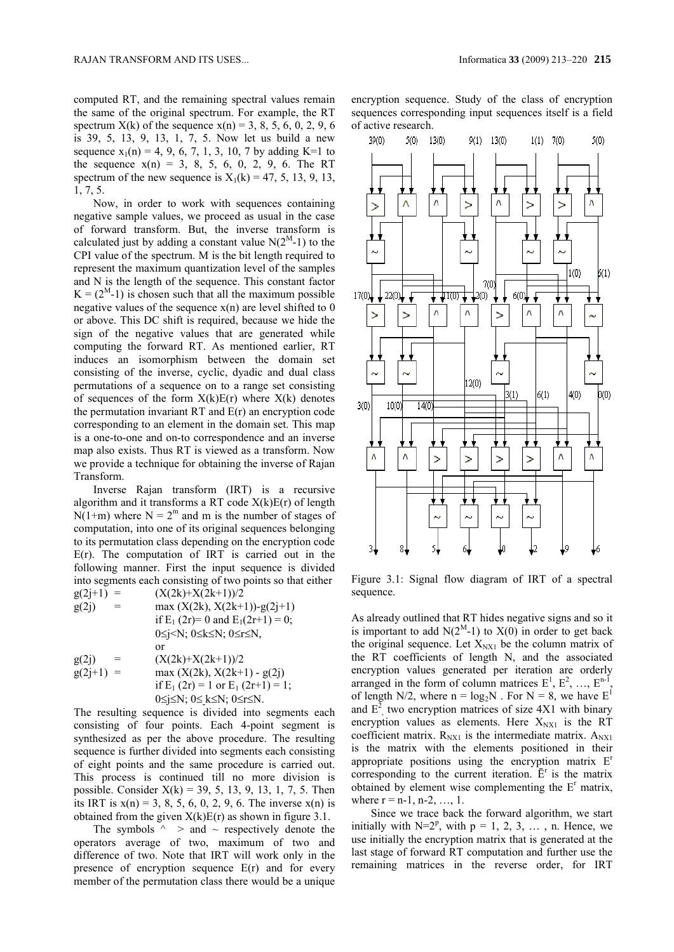computed RT, and the remaining spectral values remain the same of the original spectrum. For example, the RT spectrum  $X(k)$  of the sequence  $x(n) = 3, 8, 5, 6, 0, 2, 9, 6$ is 39, 5, 13, 9, 13, 1, 7, 5. Now let us build a new sequence  $x_1(n) = 4, 9, 6, 7, 1, 3, 10, 7$  by adding K=1 to the sequence  $x(n) = 3, 8, 5, 6, 0, 2, 9, 6$ . The RT spectrum of the new sequence is  $X_1(k) = 47, 5, 13, 9, 13,$ 1, 7, 5.

Now, in order to work with sequences containing negative sample values, we proceed as usual in the case of forward transform. But, the inverse transform is calculated just by adding a constant value  $N(2^M-1)$  to the CPI value of the spectrum. M is the bit length required to represent the maximum quantization level of the samples and N is the length of the sequence. This constant factor  $K = (2<sup>M</sup>-1)$  is chosen such that all the maximum possible negative values of the sequence  $x(n)$  are level shifted to 0 or above. This DC shift is required, because we hide the sign of the negative values that are generated while computing the forward RT. As mentioned earlier, RT induces an isomorphism between the domain set consisting of the inverse, cyclic, dyadic and dual class permutations of a sequence on to a range set consisting of sequences of the form  $X(k)E(r)$  where  $X(k)$  denotes the permutation invariant  $RT$  and  $E(r)$  an encryption code corresponding to an element in the domain set. This map is a one-to-one and on-to correspondence and an inverse map also exists. Thus RT is viewed as a transform. Now we provide a technique for obtaining the inverse of Rajan Transform.

Inverse Rajan transform (IRT) is a recursive algorithm and it transforms a RT code  $X(k)E(r)$  of length  $N(1+m)$  where  $N = 2<sup>m</sup>$  and m is the number of stages of computation, into one of its original sequences belonging to its permutation class depending on the encryption code  $E(r)$ . The computation of IRT is carried out in the following manner. First the input sequence is divided into segments each consisting of two points so that either  $c(2i+1) = (X(2i+1)X(2i+1))/2$  $(y(2k) | \mathbf{y}(2k+1))/2$ 

| $g(z+1) =$  | $(\Lambda(ZK)^+\Lambda(ZK+1))/Z$                      |
|-------------|-------------------------------------------------------|
| g(2j)       | max $(X(2k), X(2k+1))$ -g $(2j+1)$                    |
|             | if $E_1(2r)=0$ and $E_1(2r+1)=0$ ;                    |
|             | $0 \le j \le N$ ; $0 \le k \le N$ ; $0 \le r \le N$ , |
|             | or                                                    |
| g(2j)       | $(X(2k)+X(2k+1))/2$                                   |
| $g(2j+1) =$ | max $(X(2k), X(2k+1) - g(2j))$                        |
|             | if $E_1(2r) = 1$ or $E_1(2r+1) = 1$ ;                 |
|             | $0 \le j \le N$ ; $0 \le k \le N$ ; $0 \le r \le N$ . |

The resulting sequence is divided into segments each consisting of four points. Each 4-point segment is synthesized as per the above procedure. The resulting sequence is further divided into segments each consisting of eight points and the same procedure is carried out. This process is continued till no more division is possible. Consider  $X(k) = 39, 5, 13, 9, 13, 1, 7, 5$ . Then its IRT is  $x(n) = 3, 8, 5, 6, 0, 2, 9, 6$ . The inverse  $x(n)$  is obtained from the given  $X(k)E(r)$  as shown in figure 3.1.

The symbols  $\wedge$  > and  $\sim$  respectively denote the operators average of two, maximum of two and difference of two. Note that IRT will work only in the presence of encryption sequence E(r) and for every member of the permutation class there would be a unique

encryption sequence. Study of the class of encryption sequences corresponding input sequences itself is a field of active research.



Figure 3.1: Signal flow diagram of IRT of a spectral sequence.

As already outlined that RT hides negative signs and so it is important to add  $N(2^M-1)$  to  $X(0)$  in order to get back the original sequence. Let  $X_{NX1}$  be the column matrix of the RT coefficients of length N, and the associated encryption values generated per iteration are orderly arranged in the form of column matrices  $E^1$ ,  $E^2$ , ...,  $E^{n-1}$ , of length N/2, where  $n = log_2N$ . For  $N = 8$ , we have  $E<sup>1</sup>$ and  $E^2$ , two encryption matrices of size 4X1 with binary encryption values as elements. Here  $X_{\text{NX1}}$  is the RT coefficient matrix.  $R_{\text{NX1}}$  is the intermediate matrix.  $A_{\text{NX1}}$ is the matrix with the elements positioned in their appropriate positions using the encryption matrix  $E<sup>r</sup>$ corresponding to the current iteration.  $\bar{E}^r$  is the matrix obtained by element wise complementing the  $E<sup>r</sup>$  matrix, where  $r = n-1, n-2, ..., 1$ .

Since we trace back the forward algorithm, we start initially with  $N=2^p$ , with  $p = 1, 2, 3, \ldots$ , n. Hence, we use initially the encryption matrix that is generated at the last stage of forward RT computation and further use the remaining matrices in the reverse order, for IRT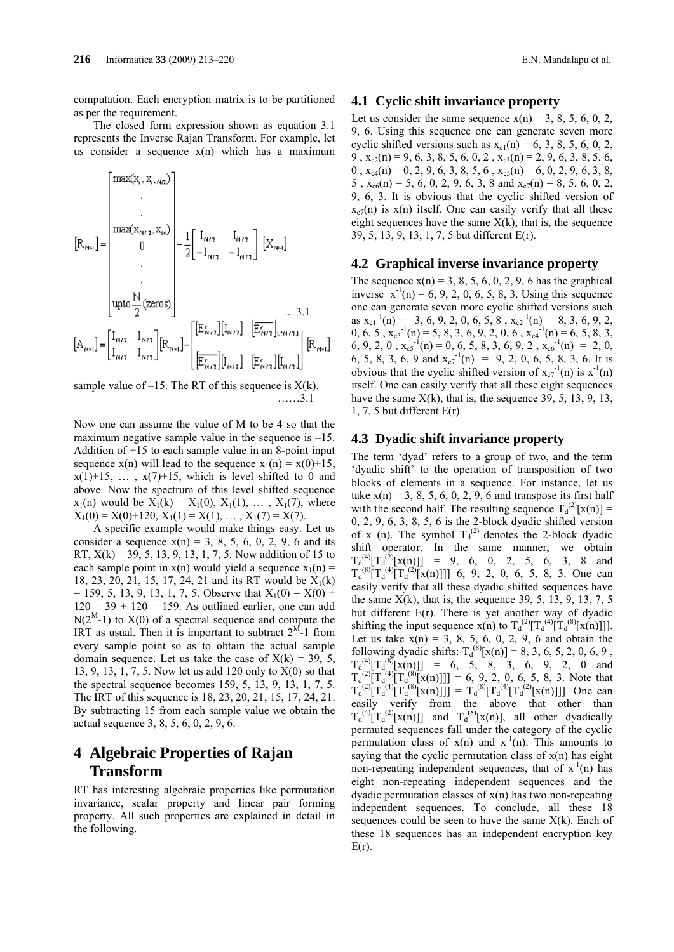computation. Each encryption matrix is to be partitioned as per the requirement.

The closed form expression shown as equation 3.1 represents the Inverse Rajan Transform. For example, let us consider a sequence  $x(n)$  which has a maximum

$$
[\mathbf{R}_{\text{net}}] = \begin{bmatrix} \max(\mathbf{x}_{1}, \mathbf{x}_{1}, \mathbf{a}_{0}) \\ \vdots \\ \max(\mathbf{x}_{m/2}, \mathbf{x}_{n}) \\ 0 \end{bmatrix} - \frac{1}{2} \begin{bmatrix} I_{m/2} & I_{m/2} \\ -I_{m/2} & -I_{m/2} \end{bmatrix} [\mathbf{X}_{m1}]
$$
  
\n
$$
[\mathbf{A}_{m1}] = \begin{bmatrix} I_{m/2} & I_{m/2} \\ I_{m/2} & I_{m/2} \end{bmatrix} [\mathbf{R}_{m1}] - \begin{bmatrix} [\mathbf{E}_{m1}'] [\mathbf{I}_{m/2}] & [\mathbf{E}_{m2}] [\mathbf{I}_{m/2}] \\ \hline [\mathbf{E}_{m2}'] [\mathbf{I}_{m/2}] & [\mathbf{E}_{m2}] [\mathbf{I}_{m/2}] \end{bmatrix} [\mathbf{R}_{m1}]
$$

sample value of  $-15$ . The RT of this sequence is  $X(k)$ . ……3.1

Now one can assume the value of M to be 4 so that the maximum negative sample value in the sequence is  $-15$ . Addition of  $+15$  to each sample value in an 8-point input sequence  $x(n)$  will lead to the sequence  $x_1(n) = x(0)+15$ ,  $x(1)+15$ ,  $\ldots$ ,  $x(7)+15$ , which is level shifted to 0 and above. Now the spectrum of this level shifted sequence  $x_1(n)$  would be  $X_1(k) = X_1(0), X_1(1), \ldots, X_1(7)$ , where  $X_1(0) = X(0) + 120, X_1(1) = X(1), \ldots, X_1(7) = X(7).$ 

A specific example would make things easy. Let us consider a sequence  $x(n) = 3, 8, 5, 6, 0, 2, 9, 6$  and its RT,  $X(k) = 39, 5, 13, 9, 13, 1, 7, 5$ . Now addition of 15 to each sample point in  $x(n)$  would yield a sequence  $x_1(n)$  = 18, 23, 20, 21, 15, 17, 24, 21 and its RT would be  $X_1(k)$  $= 159, 5, 13, 9, 13, 1, 7, 5$ . Observe that  $X_1(0) = X(0) +$  $120 = 39 + 120 = 159$ . As outlined earlier, one can add  $N(2^M-1)$  to  $X(0)$  of a spectral sequence and compute the IRT as usual. Then it is important to subtract  $2^M-1$  from every sample point so as to obtain the actual sample domain sequence. Let us take the case of  $X(k) = 39, 5,$ 13, 9, 13, 1, 7, 5. Now let us add 120 only to X(0) so that the spectral sequence becomes 159, 5, 13, 9, 13, 1, 7, 5. The IRT of this sequence is 18, 23, 20, 21, 15, 17, 24, 21. By subtracting 15 from each sample value we obtain the actual sequence 3, 8, 5, 6, 0, 2, 9, 6.

# **4 Algebraic Properties of Rajan Transform**

RT has interesting algebraic properties like permutation invariance, scalar property and linear pair forming property. All such properties are explained in detail in the following.

### **4.1 Cyclic shift invariance property**

Let us consider the same sequence  $x(n) = 3, 8, 5, 6, 0, 2$ , 9, 6. Using this sequence one can generate seven more cyclic shifted versions such as  $x<sub>cl</sub>(n) = 6, 3, 8, 5, 6, 0, 2,$ 9,  $x_{c2}(n) = 9, 6, 3, 8, 5, 6, 0, 2, x_{c3}(n) = 2, 9, 6, 3, 8, 5, 6,$  $0, x_{c4}(n) = 0, 2, 9, 6, 3, 8, 5, 6, x_{c5}(n) = 6, 0, 2, 9, 6, 3, 8,$ 5,  $x_{c6}(n) = 5$ , 6, 0, 2, 9, 6, 3, 8 and  $x_{c7}(n) = 8$ , 5, 6, 0, 2, 9, 6, 3. It is obvious that the cyclic shifted version of  $x_{0}z_{0}$  is  $x(n)$  itself. One can easily verify that all these eight sequences have the same  $X(k)$ , that is, the sequence 39, 5, 13, 9, 13, 1, 7, 5 but different E(r).

#### **4.2 Graphical inverse invariance property**

The sequence  $x(n) = 3, 8, 5, 6, 0, 2, 9, 6$  has the graphical inverse  $x^{-1}(n) = 6, 9, 2, 0, 6, 5, 8, 3$ . Using this sequence one can generate seven more cyclic shifted versions such as  $x_{c1}^{-1}(n) = 3, 6, 9, 2, 0, 6, 5, 8, x_{c2}^{-1}(n) = 8, 3, 6, 9, 2,$ 0, 6, 5,  $x_{c3}^{-1}(n) = 5$ , 8, 3, 6, 9, 2, 0, 6,  $x_{c4}^{-1}(n) = 6$ , 5, 8, 3, 6, 9, 2, 0,  $x_c s^{-1}(n) = 0$ , 6, 5, 8, 3, 6, 9, 2,  $x_c s^{-1}(n) = 2$ , 0, 6, 5, 8, 3, 6, 9 and  $x_{c7}^{-1}(n) = 9$ , 2, 0, 6, 5, 8, 3, 6. It is obvious that the cyclic shifted version of  $x_{c7}^{-1}(n)$  is  $x^{-1}(n)$ itself. One can easily verify that all these eight sequences have the same  $X(k)$ , that is, the sequence 39, 5, 13, 9, 13, 1, 7, 5 but different  $E(r)$ 

### **4.3 Dyadic shift invariance property**

The term 'dyad' refers to a group of two, and the term 'dyadic shift' to the operation of transposition of two blocks of elements in a sequence. For instance, let us take  $x(n) = 3, 8, 5, 6, 0, 2, 9, 6$  and transpose its first half with the second half. The resulting sequence  $T_d^{(2)}[x(n)] =$ 0, 2, 9, 6, 3, 8, 5, 6 is the 2-block dyadic shifted version of x (n). The symbol  $T_d^{(2)}$  denotes the 2-block dyadic shift operator. In the same manner, we obtain  $T_d^{(4)}[T_d^{(2)}[x(n)]] = 9, 6, 0, 2, 5, 6, 3, 8$  and  $T_d^{(8)}[T_d^{(4)}[T_d^{(2)}[x(n)]]]=6$ , 9, 2, 0, 6, 5, 8, 3. One can easily verify that all these dyadic shifted sequences have the same  $X(k)$ , that is, the sequence 39, 5, 13, 9, 13, 7, 5 but different E(r). There is yet another way of dyadic shifting the input sequence  $x(n)$  to  $T_d^{(2)}[T_d^{(4)}[T_d^{(8)}[x(n)]]]$ . Let us take  $x(n) = 3, 8, 5, 6, 0, 2, 9, 6$  and obtain the following dyadic shifts:  $T_d^{(8)}[x(n)] = 8, 3, 6, 5, 2, 0, 6, 9$ ,  $T_d^{(4)} [T_d^{(8)} [x(n)]] = 6, 5, 8, 3, 6, 9, 2, 0$  and  $T_d^{(2)}[T_d^{(4)}[T_d^{(8)}[x(n)]]] = 6, 9, 2, 0, 6, 5, 8, 3.$  Note that  $T_d^{(2)}[T_d^{(4)}[T_d^{(8)}[x(n)]]] = T_d^{(8)}[T_d^{(4)}[T_d^{(2)}[x(n)]]]$ . One can easily verify from the above that other than  $T_d^{(4)}[T_d^{(2)}[x(n)]]$  and  $T_d^{(8)}[x(n)]$ , all other dyadically permuted sequences fall under the category of the cyclic permutation class of  $x(n)$  and  $x^{-1}(n)$ . This amounts to saying that the cyclic permutation class of  $x(n)$  has eight non-repeating independent sequences, that of  $x^{-1}(n)$  has eight non-repeating independent sequences and the dyadic permutation classes of  $x(n)$  has two non-repeating independent sequences. To conclude, all these 18 sequences could be seen to have the same  $X(k)$ . Each of these 18 sequences has an independent encryption key  $E(r)$ .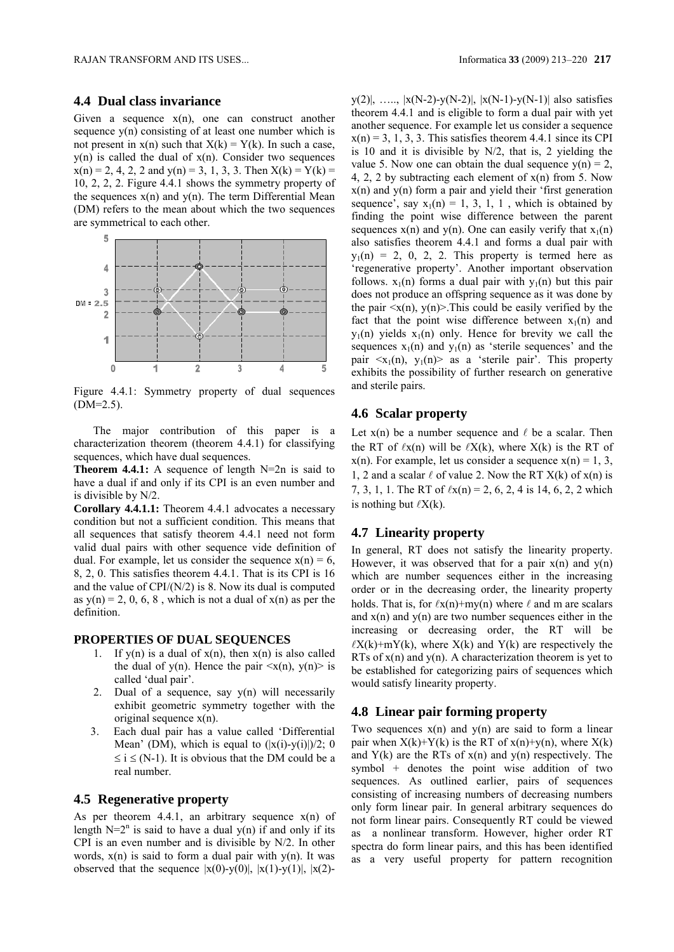RAJAN TRANSFORM AND ITS USES... Informatica **33** (2009) 213–220 **217**

### **4.4 Dual class invariance**

Given a sequence  $x(n)$ , one can construct another sequence  $y(n)$  consisting of at least one number which is not present in  $x(n)$  such that  $X(k) = Y(k)$ . In such a case,  $y(n)$  is called the dual of  $x(n)$ . Consider two sequences  $x(n) = 2$ , 4, 2, 2 and  $y(n) = 3$ , 1, 3, 3. Then  $X(k) = Y(k) =$ 10, 2, 2, 2. Figure 4.4.1 shows the symmetry property of the sequences  $x(n)$  and  $y(n)$ . The term Differential Mean (DM) refers to the mean about which the two sequences are symmetrical to each other.



Figure 4.4.1: Symmetry property of dual sequences (DM=2.5).

The major contribution of this paper is a characterization theorem (theorem 4.4.1) for classifying sequences, which have dual sequences.

**Theorem 4.4.1:** A sequence of length N=2n is said to have a dual if and only if its CPI is an even number and is divisible by N/2.

**Corollary 4.4.1.1:** Theorem 4.4.1 advocates a necessary condition but not a sufficient condition. This means that all sequences that satisfy theorem 4.4.1 need not form valid dual pairs with other sequence vide definition of dual. For example, let us consider the sequence  $x(n) = 6$ , 8, 2, 0. This satisfies theorem 4.4.1. That is its CPI is 16 and the value of  $CPI/(N/2)$  is 8. Now its dual is computed as  $y(n) = 2, 0, 6, 8$ , which is not a dual of  $x(n)$  as per the definition.

### **PROPERTIES OF DUAL SEQUENCES**

- 1. If y(n) is a dual of  $x(n)$ , then  $x(n)$  is also called the dual of y(n). Hence the pair  $\langle x(n), y(n) \rangle$  is called 'dual pair'.
- 2. Dual of a sequence, say y(n) will necessarily exhibit geometric symmetry together with the original sequence x(n).
- 3. Each dual pair has a value called 'Differential Mean' (DM), which is equal to  $(|x(i)-y(i)|)/2$ ; 0  $\le i \le (N-1)$ . It is obvious that the DM could be a real number.

## **4.5 Regenerative property**

As per theorem 4.4.1, an arbitrary sequence  $x(n)$  of length  $N=2^n$  is said to have a dual y(n) if and only if its CPI is an even number and is divisible by N/2. In other words,  $x(n)$  is said to form a dual pair with  $y(n)$ . It was observed that the sequence  $|x(0)-y(0)|, |x(1)-y(1)|, |x(2)-y(1)|$ 

y(2)|, …, |x(N-2)-y(N-2)|, |x(N-1)-y(N-1)| also satisfies theorem 4.4.1 and is eligible to form a dual pair with yet another sequence. For example let us consider a sequence  $x(n) = 3, 1, 3, 3$ . This satisfies theorem 4.4.1 since its CPI is 10 and it is divisible by N/2, that is, 2 yielding the value 5. Now one can obtain the dual sequence  $y(n) = 2$ , 4, 2, 2 by subtracting each element of  $x(n)$  from 5. Now  $x(n)$  and  $y(n)$  form a pair and yield their 'first generation sequence', say  $x_1(n) = 1, 3, 1, 1$ , which is obtained by finding the point wise difference between the parent sequences  $x(n)$  and  $y(n)$ . One can easily verify that  $x_1(n)$ also satisfies theorem 4.4.1 and forms a dual pair with  $y_1(n) = 2$ , 0, 2, 2. This property is termed here as 'regenerative property'. Another important observation follows.  $x_1(n)$  forms a dual pair with  $y_1(n)$  but this pair does not produce an offspring sequence as it was done by the pair  $\langle x(n), y(n) \rangle$ . This could be easily verified by the fact that the point wise difference between  $x_1(n)$  and  $y_1(n)$  yields  $x_1(n)$  only. Hence for brevity we call the sequences  $x_1(n)$  and  $y_1(n)$  as 'sterile sequences' and the pair  $\langle x_1(n), y_1(n) \rangle$  as a 'sterile pair'. This property exhibits the possibility of further research on generative and sterile pairs.

## **4.6 Scalar property**

Let  $x(n)$  be a number sequence and  $\ell$  be a scalar. Then the RT of  $\ell x(n)$  will be  $\ell X(k)$ , where  $X(k)$  is the RT of  $x(n)$ . For example, let us consider a sequence  $x(n) = 1, 3$ , 1, 2 and a scalar  $\ell$  of value 2. Now the RT  $X(k)$  of  $x(n)$  is 7, 3, 1, 1. The RT of  $\ell$ x(n) = 2, 6, 2, 4 is 14, 6, 2, 2 which is nothing but  $\ell X(k)$ .

## **4.7 Linearity property**

In general, RT does not satisfy the linearity property. However, it was observed that for a pair  $x(n)$  and  $y(n)$ which are number sequences either in the increasing order or in the decreasing order, the linearity property holds. That is, for  $\ell x(n)+my(n)$  where  $\ell$  and m are scalars and  $x(n)$  and  $y(n)$  are two number sequences either in the increasing or decreasing order, the RT will be  $\ell X(k)$ +mY(k), where  $X(k)$  and Y(k) are respectively the RTs of  $x(n)$  and  $y(n)$ . A characterization theorem is yet to be established for categorizing pairs of sequences which would satisfy linearity property.

## **4.8 Linear pair forming property**

Two sequences  $x(n)$  and  $y(n)$  are said to form a linear pair when  $X(k)+Y(k)$  is the RT of  $x(n)+y(n)$ , where  $X(k)$ and  $Y(k)$  are the RTs of  $x(n)$  and  $y(n)$  respectively. The symbol + denotes the point wise addition of two sequences. As outlined earlier, pairs of sequences consisting of increasing numbers of decreasing numbers only form linear pair. In general arbitrary sequences do not form linear pairs. Consequently RT could be viewed as a nonlinear transform. However, higher order RT spectra do form linear pairs, and this has been identified as a very useful property for pattern recognition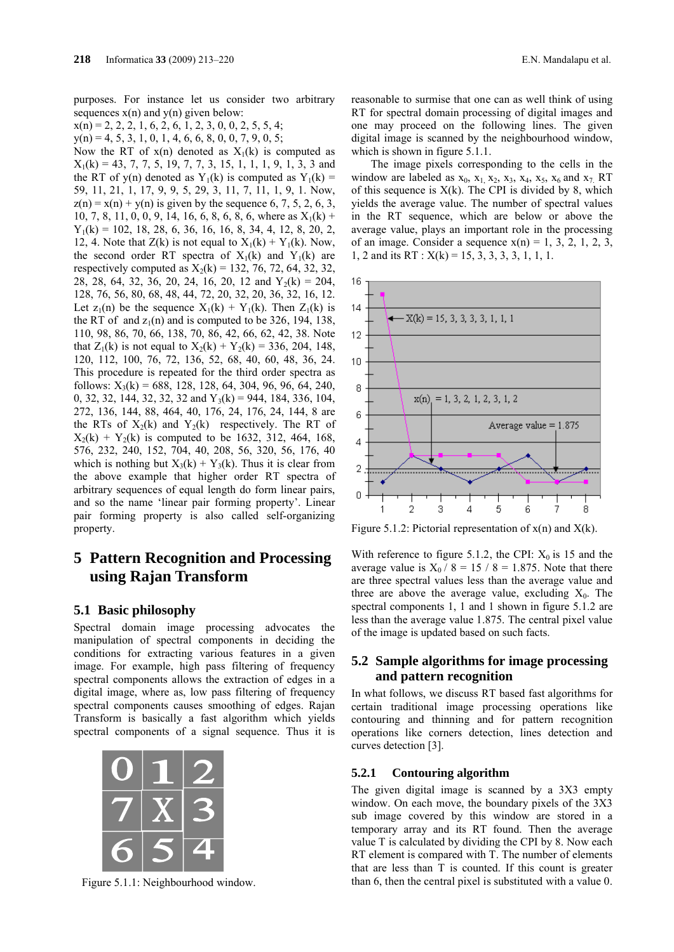purposes. For instance let us consider two arbitrary sequences  $x(n)$  and  $y(n)$  given below:

 $x(n) = 2, 2, 2, 1, 6, 2, 6, 1, 2, 3, 0, 0, 2, 5, 5, 4;$ 

 $y(n) = 4, 5, 3, 1, 0, 1, 4, 6, 6, 8, 0, 0, 7, 9, 0, 5;$ 

Now the RT of  $x(n)$  denoted as  $X_1(k)$  is computed as  $X_1(k) = 43, 7, 7, 5, 19, 7, 7, 3, 15, 1, 1, 1, 9, 1, 3, 3$  and the RT of y(n) denoted as Y<sub>1</sub>(k) is computed as Y<sub>1</sub>(k) = 59, 11, 21, 1, 17, 9, 9, 5, 29, 3, 11, 7, 11, 1, 9, 1. Now,  $z(n) = x(n) + y(n)$  is given by the sequence 6, 7, 5, 2, 6, 3, 10, 7, 8, 11, 0, 0, 9, 14, 16, 6, 8, 6, 8, 6, where as  $X_1(k)$  +  $Y_1(k) = 102, 18, 28, 6, 36, 16, 16, 8, 34, 4, 12, 8, 20, 2,$ 12, 4. Note that  $Z(k)$  is not equal to  $X_1(k) + Y_1(k)$ . Now, the second order RT spectra of  $X_1(k)$  and  $Y_1(k)$  are respectively computed as  $X_2(k) = 132, 76, 72, 64, 32, 32,$ 28, 28, 64, 32, 36, 20, 24, 16, 20, 12 and  $Y_2(k) = 204$ , 128, 76, 56, 80, 68, 48, 44, 72, 20, 32, 20, 36, 32, 16, 12. Let  $z_1(n)$  be the sequence  $X_1(k) + Y_1(k)$ . Then  $Z_1(k)$  is the RT of and  $z_1(n)$  and is computed to be 326, 194, 138, 110, 98, 86, 70, 66, 138, 70, 86, 42, 66, 62, 42, 38. Note that  $Z_1(k)$  is not equal to  $X_2(k) + Y_2(k) = 336, 204, 148,$ 120, 112, 100, 76, 72, 136, 52, 68, 40, 60, 48, 36, 24. This procedure is repeated for the third order spectra as follows:  $X_3(k) = 688, 128, 128, 64, 304, 96, 96, 64, 240,$ 0, 32, 32, 144, 32, 32, 32 and  $Y_3(k) = 944$ , 184, 336, 104, 272, 136, 144, 88, 464, 40, 176, 24, 176, 24, 144, 8 are the RTs of  $X_2(k)$  and  $Y_2(k)$  respectively. The RT of  $X_2(k) + Y_2(k)$  is computed to be 1632, 312, 464, 168, 576, 232, 240, 152, 704, 40, 208, 56, 320, 56, 176, 40 which is nothing but  $X_3(k) + Y_3(k)$ . Thus it is clear from the above example that higher order RT spectra of arbitrary sequences of equal length do form linear pairs, and so the name 'linear pair forming property'. Linear pair forming property is also called self-organizing property.

# **5 Pattern Recognition and Processing using Rajan Transform**

## **5.1 Basic philosophy**

Spectral domain image processing advocates the manipulation of spectral components in deciding the conditions for extracting various features in a given image. For example, high pass filtering of frequency spectral components allows the extraction of edges in a digital image, where as, low pass filtering of frequency spectral components causes smoothing of edges. Rajan Transform is basically a fast algorithm which yields spectral components of a signal sequence. Thus it is



reasonable to surmise that one can as well think of using RT for spectral domain processing of digital images and one may proceed on the following lines. The given digital image is scanned by the neighbourhood window, which is shown in figure 5.1.1.

The image pixels corresponding to the cells in the window are labeled as  $x_0$ ,  $x_1$ ,  $x_2$ ,  $x_3$ ,  $x_4$ ,  $x_5$ ,  $x_6$  and  $x_7$ . RT of this sequence is  $X(k)$ . The CPI is divided by 8, which yields the average value. The number of spectral values in the RT sequence, which are below or above the average value, plays an important role in the processing of an image. Consider a sequence  $x(n) = 1, 3, 2, 1, 2, 3$ , 1, 2 and its RT :  $X(k) = 15, 3, 3, 3, 3, 1, 1, 1$ .



Figure 5.1.2: Pictorial representation of  $x(n)$  and  $X(k)$ .

With reference to figure 5.1.2, the CPI:  $X_0$  is 15 and the average value is  $X_0 / 8 = 15 / 8 = 1.875$ . Note that there are three spectral values less than the average value and three are above the average value, excluding  $X_0$ . The spectral components 1, 1 and 1 shown in figure 5.1.2 are less than the average value 1.875. The central pixel value of the image is updated based on such facts.

## **5.2 Sample algorithms for image processing and pattern recognition**

In what follows, we discuss RT based fast algorithms for certain traditional image processing operations like contouring and thinning and for pattern recognition operations like corners detection, lines detection and curves detection [3].

### **5.2.1 Contouring algorithm**

The given digital image is scanned by a 3X3 empty window. On each move, the boundary pixels of the 3X3 sub image covered by this window are stored in a temporary array and its RT found. Then the average value T is calculated by dividing the CPI by 8. Now each RT element is compared with T. The number of elements that are less than T is counted. If this count is greater Figure 5.1.1: Neighbourhood window. than 6, then the central pixel is substituted with a value 0.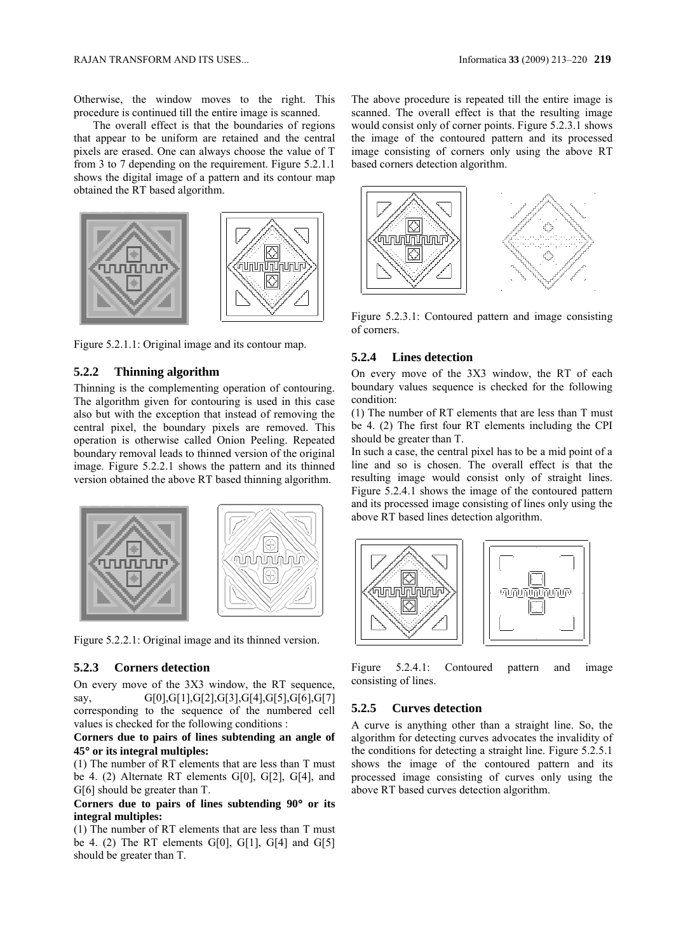Otherwise, the window moves to the right. This procedure is continued till the entire image is scanned.

The overall effect is that the boundaries of regions that appear to be uniform are retained and the central pixels are erased. One can always choose the value of T from 3 to 7 depending on the requirement. Figure 5.2.1.1 shows the digital image of a pattern and its contour map obtained the RT based algorithm.



Figure 5.2.1.1: Original image and its contour map.

## **5.2.2 Thinning algorithm**

Thinning is the complementing operation of contouring. The algorithm given for contouring is used in this case also but with the exception that instead of removing the central pixel, the boundary pixels are removed. This operation is otherwise called Onion Peeling. Repeated boundary removal leads to thinned version of the original image. Figure 5.2.2.1 shows the pattern and its thinned version obtained the above RT based thinning algorithm.



Figure 5.2.2.1: Original image and its thinned version.

### **5.2.3 Corners detection**

On every move of the 3X3 window, the RT sequence, say, G[0],G[1],G[2],G[3],G[4],G[5],G[6],G[7] corresponding to the sequence of the numbered cell values is checked for the following conditions :

### **Corners due to pairs of lines subtending an angle of 45 or its integral multiples:**

(1) The number of RT elements that are less than T must be 4. (2) Alternate RT elements G[0], G[2], G[4], and G[6] should be greater than T.

**Corners due to pairs of lines subtending 90 or its integral multiples:**

(1) The number of RT elements that are less than T must be 4. (2) The RT elements  $G[0]$ ,  $G[1]$ ,  $G[4]$  and  $G[5]$ should be greater than T.

The above procedure is repeated till the entire image is scanned. The overall effect is that the resulting image would consist only of corner points. Figure 5.2.3.1 shows the image of the contoured pattern and its processed image consisting of corners only using the above RT based corners detection algorithm.



Figure 5.2.3.1: Contoured pattern and image consisting of corners.

### **5.2.4 Lines detection**

On every move of the 3X3 window, the RT of each boundary values sequence is checked for the following condition:

(1) The number of RT elements that are less than T must be 4. (2) The first four RT elements including the CPI should be greater than T.

In such a case, the central pixel has to be a mid point of a line and so is chosen. The overall effect is that the resulting image would consist only of straight lines. Figure 5.2.4.1 shows the image of the contoured pattern and its processed image consisting of lines only using the above RT based lines detection algorithm.



Figure 5.2.4.1: Contoured pattern and image consisting of lines.

### **5.2.5 Curves detection**

A curve is anything other than a straight line. So, the algorithm for detecting curves advocates the invalidity of the conditions for detecting a straight line. Figure 5.2.5.1 shows the image of the contoured pattern and its processed image consisting of curves only using the above RT based curves detection algorithm.